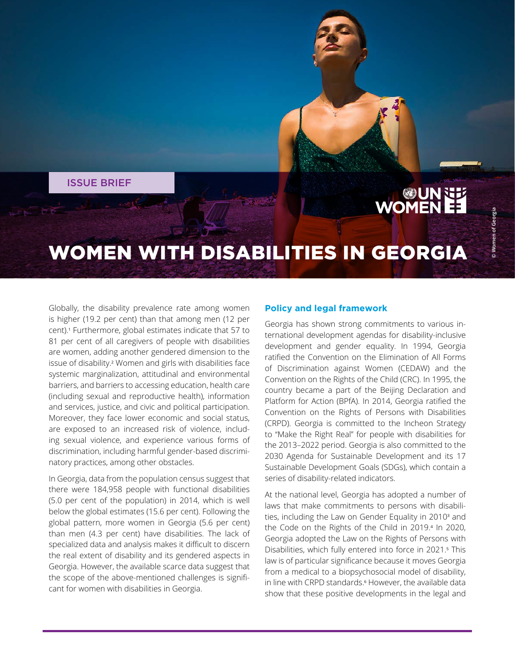ISSUE BRIEF

# **UNNER**<br>EE WOMEN

## WOMEN WITH DISABILITIES IN GEORGIA

Globally, the disability prevalence rate among women is higher (19.2 per cent) than that among men (12 per cent).1 Furthermore, global estimates indicate that 57 to 81 per cent of all caregivers of people with disabilities are women, adding another gendered dimension to the issue of disability.2 Women and girls with disabilities face systemic marginalization, attitudinal and environmental barriers, and barriers to accessing education, health care (including sexual and reproductive health), information and services, justice, and civic and political participation. Moreover, they face lower economic and social status, are exposed to an increased risk of violence, including sexual violence, and experience various forms of discrimination, including harmful gender-based discriminatory practices, among other obstacles.

In Georgia, data from the population census suggest that there were 184,958 people with functional disabilities (5.0 per cent of the population) in 2014, which is well below the global estimates (15.6 per cent). Following the global pattern, more women in Georgia (5.6 per cent) than men (4.3 per cent) have disabilities. The lack of specialized data and analysis makes it difficult to discern the real extent of disability and its gendered aspects in Georgia. However, the available scarce data suggest that the scope of the above-mentioned challenges is significant for women with disabilities in Georgia.

#### **Policy and legal framework**

Georgia has shown strong commitments to various international development agendas for disability-inclusive development and gender equality. In 1994, Georgia ratified the Convention on the Elimination of All Forms of Discrimination against Women (CEDAW) and the Convention on the Rights of the Child (CRC). In 1995, the country became a part of the Beijing Declaration and Platform for Action (BPfA). In 2014, Georgia ratified the Convention on the Rights of Persons with Disabilities (CRPD). Georgia is committed to the Incheon Strategy to "Make the Right Real" for people with disabilities for the 2013–2022 period. Georgia is also committed to the 2030 Agenda for Sustainable Development and its 17 Sustainable Development Goals (SDGs), which contain a series of disability-related indicators.

At the national level, Georgia has adopted a number of laws that make commitments to persons with disabilities, including the Law on Gender Equality in 2010<sup>3</sup> and the Code on the Rights of the Child in 2019.4 In 2020, Georgia adopted the Law on the Rights of Persons with Disabilities, which fully entered into force in 2021.<sup>5</sup> This law is of particular significance because it moves Georgia from a medical to a biopsychosocial model of disability, in line with CRPD standards.<sup>6</sup> However, the available data show that these positive developments in the legal and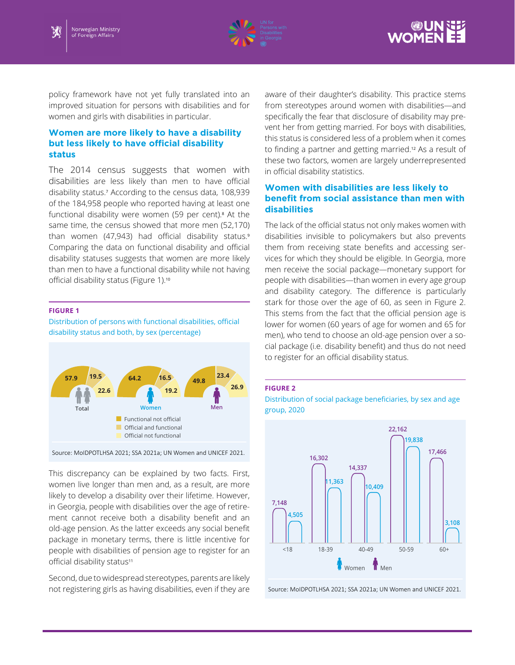





policy framework have not yet fully translated into an improved situation for persons with disabilities and for women and girls with disabilities in particular.

#### **Women are more likely to have a disability but less likely to have official disability status**

The 2014 census suggests that women with disabilities are less likely than men to have official disability status.7 According to the census data, 108,939 of the 184,958 people who reported having at least one functional disability were women (59 per cent).<sup>8</sup> At the same time, the census showed that more men (52,170) than women (47,943) had official disability status.<sup>9</sup> Comparing the data on functional disability and official disability statuses suggests that women are more likely than men to have a functional disability while not having official disability status (Figure 1).<sup>10</sup>

#### **FIGURE 1**

Distribution of persons with functional disabilities, official disability status and both, by sex (percentage)



Source: MoIDPOTLHSA 2021; SSA 2021a; UN Women and UNICEF 2021.

This discrepancy can be explained by two facts. First, women live longer than men and, as a result, are more likely to develop a disability over their lifetime. However, in Georgia, people with disabilities over the age of retirement cannot receive both a disability benefit and an old-age pension. As the latter exceeds any social benefit package in monetary terms, there is little incentive for people with disabilities of pension age to register for an official disability status<sup>11</sup>

Second, due to widespread stereotypes, parents are likely not registering girls as having disabilities, even if they are

aware of their daughter's disability. This practice stems from stereotypes around women with disabilities—and specifically the fear that disclosure of disability may prevent her from getting married. For boys with disabilities, this status is considered less of a problem when it comes to finding a partner and getting married.12 As a result of these two factors, women are largely underrepresented in official disability statistics.

#### **Women with disabilities are less likely to benefit from social assistance than men with disabilities**

The lack of the official status not only makes women with disabilities invisible to policymakers but also prevents them from receiving state benefits and accessing services for which they should be eligible. In Georgia, more men receive the social package—monetary support for people with disabilities—than women in every age group and disability category. The difference is particularly stark for those over the age of 60, as seen in Figure 2. This stems from the fact that the official pension age is lower for women (60 years of age for women and 65 for men), who tend to choose an old-age pension over a social package (i.e. disability benefit) and thus do not need to register for an official disability status.

#### **FIGURE 2**

Distribution of social package beneficiaries, by sex and age group, 2020



Source: MoIDPOTLHSA 2021; SSA 2021a; UN Women and UNICEF 2021.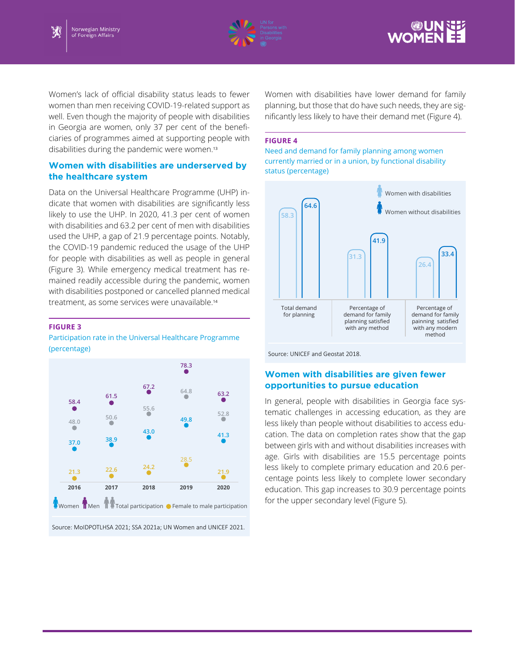



Women's lack of official disability status leads to fewer women than men receiving COVID-19-related support as well. Even though the majority of people with disabilities in Georgia are women, only 37 per cent of the beneficiaries of programmes aimed at supporting people with disabilities during the pandemic were women.<sup>13</sup>

#### **Women with disabilities are underserved by the healthcare system**

Data on the Universal Healthcare Programme (UHP) indicate that women with disabilities are significantly less likely to use the UHP. In 2020, 41.3 per cent of women with disabilities and 63.2 per cent of men with disabilities used the UHP, a gap of 21.9 percentage points. Notably, the COVID-19 pandemic reduced the usage of the UHP for people with disabilities as well as people in general (Figure 3). While emergency medical treatment has remained readily accessible during the pandemic, women with disabilities postponed or cancelled planned medical treatment, as some services were unavailable.<sup>14</sup>

#### **FIGURE 3**

Participation rate in the Universal Healthcare Programme (percentage)



Source: MoIDPOTLHSA 2021; SSA 2021a; UN Women and UNICEF 2021.

Women with disabilities have lower demand for family planning, but those that do have such needs, they are significantly less likely to have their demand met (Figure 4).

#### **FIGURE 4**

Need and demand for family planning among women currently married or in a union, by functional disability status (percentage)



Source: UNICEF and Geostat 2018.

#### **Women with disabilities are given fewer opportunities to pursue education**

In general, people with disabilities in Georgia face systematic challenges in accessing education, as they are less likely than people without disabilities to access education. The data on completion rates show that the gap between girls with and without disabilities increases with age. Girls with disabilities are 15.5 percentage points less likely to complete primary education and 20.6 percentage points less likely to complete lower secondary education. This gap increases to 30.9 percentage points for the upper secondary level (Figure 5).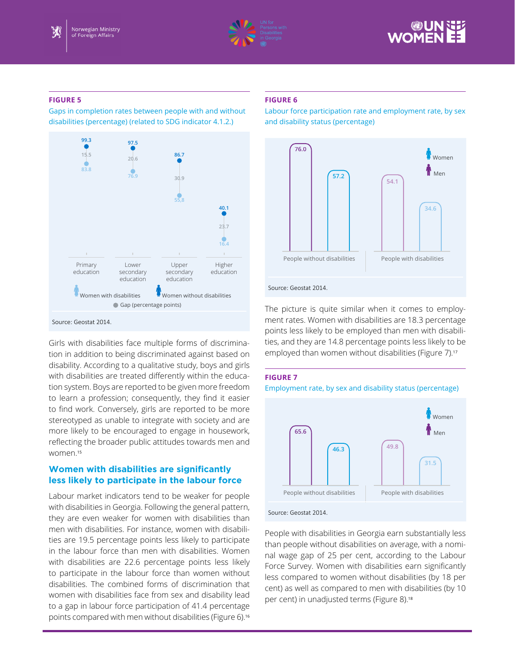



#### **FIGURE 5**

Gaps in completion rates between people with and without disabilities (percentage) (related to SDG indicator 4.1.2.)



Source: Geostat 2014.

Girls with disabilities face multiple forms of discrimination in addition to being discriminated against based on disability. According to a qualitative study, boys and girls with disabilities are treated differently within the education system. Boys are reported to be given more freedom to learn a profession; consequently, they find it easier to find work. Conversely, girls are reported to be more stereotyped as unable to integrate with society and are more likely to be encouraged to engage in housework, reflecting the broader public attitudes towards men and women.<sup>15</sup>

### **Women with disabilities are significantly less likely to participate in the labour force**

Labour market indicators tend to be weaker for people with disabilities in Georgia. Following the general pattern, they are even weaker for women with disabilities than men with disabilities. For instance, women with disabilities are 19.5 percentage points less likely to participate in the labour force than men with disabilities. Women with disabilities are 22.6 percentage points less likely to participate in the labour force than women without disabilities. The combined forms of discrimination that women with disabilities face from sex and disability lead to a gap in labour force participation of 41.4 percentage points compared with men without disabilities (Figure 6).<sup>16</sup>

#### **FIGURE 6**

Labour force participation rate and employment rate, by sex and disability status (percentage)



The picture is quite similar when it comes to employment rates. Women with disabilities are 18.3 percentage points less likely to be employed than men with disabilities, and they are 14.8 percentage points less likely to be employed than women without disabilities (Figure 7).<sup>17</sup>

#### **FIGURE 7**

Employment rate, by sex and disability status (percentage)



People with disabilities in Georgia earn substantially less than people without disabilities on average, with a nominal wage gap of 25 per cent, according to the Labour Force Survey. Women with disabilities earn significantly less compared to women without disabilities (by 18 per cent) as well as compared to men with disabilities (by 10 per cent) in unadjusted terms (Figure 8).<sup>18</sup>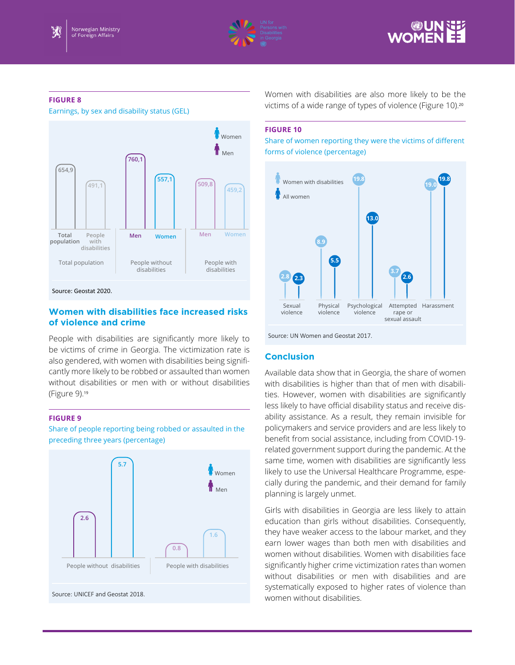



#### **FIGURE 8**

Earnings, by sex and disability status (GEL)



Source: Geostat 2020.

#### **Women with disabilities face increased risks of violence and crime**

People with disabilities are significantly more likely to be victims of crime in Georgia. The victimization rate is also gendered, with women with disabilities being significantly more likely to be robbed or assaulted than women without disabilities or men with or without disabilities (Figure 9).<sup>19</sup>

#### **FIGURE 9**

Share of people reporting being robbed or assaulted in the preceding three years (percentage)



Women with disabilities are also more likely to be the victims of a wide range of types of violence (Figure 10).<sup>20</sup>

#### **FIGURE 10**

Share of women reporting they were the victims of different forms of violence (percentage)



Source: UN Women and Geostat 2017.

#### **Conclusion**

Available data show that in Georgia, the share of women with disabilities is higher than that of men with disabilities. However, women with disabilities are significantly less likely to have official disability status and receive disability assistance. As a result, they remain invisible for policymakers and service providers and are less likely to benefit from social assistance, including from COVID-19 related government support during the pandemic. At the same time, women with disabilities are significantly less likely to use the Universal Healthcare Programme, especially during the pandemic, and their demand for family planning is largely unmet.

Girls with disabilities in Georgia are less likely to attain education than girls without disabilities. Consequently, they have weaker access to the labour market, and they earn lower wages than both men with disabilities and women without disabilities. Women with disabilities face significantly higher crime victimization rates than women without disabilities or men with disabilities and are systematically exposed to higher rates of violence than women without disabilities.